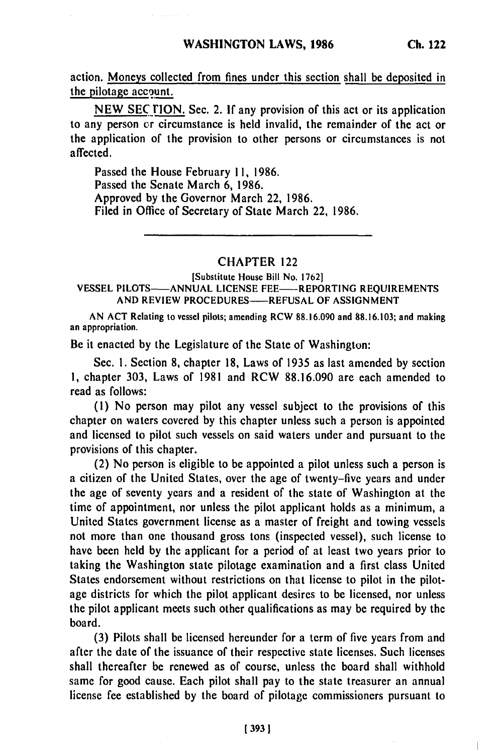action. Moneys collected from fines under this section shall be deposited in the pilotage account.

**NEW SECTION.** Sec. 2. If any provision of this act or its application to any person **cr** circumstance is held invalid, the remainder of the act or the application of the provision to other persons or circumstances is not affected.

Passed the House February **11, 1986.** Passed the Senate March **6, 1986.** Approved **by** the Governor March 22, **1986.** Filed in Office of Secretary of State March 22, **1986.**

## CHAPTER 122

[Substitute House Bill No. **1762]**

## **VESSEL PILOTS-ANNUAL LICENSE FEE-REPORTING REQUIREMENTS AND** REVIEW **PROCEDURES-REFUSAL** OF **ASSIGNMENT**

**AN ACT** Relating to vessel pilots; amending RCW **88.16.090** and **88.16.103;** and making an appropriation.

Be it enacted **by** the Legislature of the State of Washington:

Sec. **I.** Section **8,** chapter **18,** Laws of **1935** as last amended **by** section **1,** chapter **303,** Laws of **1981** and RCW **88.16.090** are each amended to read as follows:

**(1)** No person may pilot any vessel subject to the provisions of this chapter on waters covered **by** this chapter unless such a person is appointed and licensed to pilot such vessels on said waters under and pursuant to the provisions of this chapter.

(2) No person is eligible to be appointed a pilot unless such a person is a citizen of the United States, over the age of twenty-five years and under the age of seventy years and a resident of the state of Washington at the time of appointment, nor unless the pilot applicant holds as a minimum, a United Statcs government license as a master of freight and towing vessels not more than one thousand gross tons (inspected vessel), such license to have been held **by** the applicant for a period of at least two years prior to taking the Washington state pilotage examination and a first class United States endorsement without restrictions on that license to pilot in the pilotage districts for which the pilot applicant desires to be licensed, nor unless the pilot applicant meets such other qualifications as may be required **by** the board.

**(3)** Pilots shall be licensed hereunder for a term of five years from and after the date of the issuance of their respective state licenses. Such licenses shall thereafter be renewed as of course, unless the board shall withhold same for good cause. Each pilot shall pay to the state treasurer an annual license fee established **by** the board of pilotage commissioners pursuant to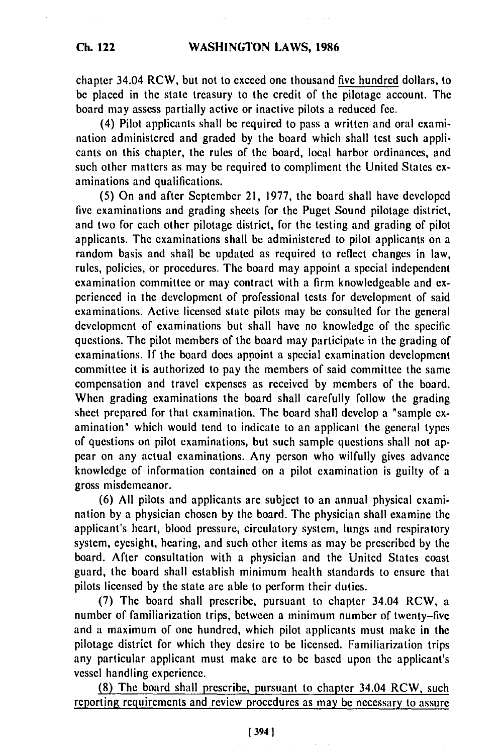**Ch. 122**

chapter 34.04 RCW, but not to exceed one thousand five hundred dollars, to be placed in the state treasury to the credit of the pilotage account. The board may assess partially active or inactive pilots a reduced fee.

(4) Pilot applicants shall be required to pass a written and oral examination administered and graded by the board which shall test such applicants on this chapter, the rules of the board, local harbor ordinances, and such other matters as may be required to compliment the United States examinations and qualifications.

(5) On and after September 21, 1977, the board shall have developed five examinations and grading sheets for the Puget Sound pilotage district, and two for each other pilotage district, for the testing and grading of pilot applicants. The examinations shall be administered to pilot applicants on a random basis and shall be updated as required to reflect changes in law, rules, policies, or procedures. The board may appoint a special independent examination committee or may contract with a firm knowledgeable and experienced in the development of professional tests for development of said examinations. Active licensed state pilots may be consulted for the general development of examinations but shall have no knowledge of the specific questions. The pilot members of the board may participate in the grading of examinations. **If** the board does appoint a special examination development committee it is authorized to pay the members of said committee the same compensation and travel expenses as received by members of the board. When grading examinations the board shall carefully follow the grading sheet prepared for that examination. The board shall develop a "sample examination" which would tend to indicate to an applicant the general types of questions on pilot examinations, but such sample questions shall not appear on any actual examinations. Any person who wilfully gives advance knowledge of information contained on a pilot examination is guilty of a gross misdemeanor.

(6) All pilots and applicants are subject to an annual physical examination by a physician chosen by the board. The physician shall examine the applicant's heart, blood pressure, circulatory system, lungs and respiratory system, eyesight, hearing, and such other items as may be prescribed by the board. After consultation with a physician and the United States coast guard, the board shall establish minimum health standards to ensure that pilots licensed by the state are able to perform their duties.

(7) The board shall prescribe, pursuant to chapter 34.04 RCW, a number of familiarization trips, between a minimum number of twenty-five and a maximum of one hundred, which pilot applicants must make in the pilotage district for which they desire to be licensed. Familiarization trips any particular applicant must make are to be based upon the applicant's vessel handling experience.

(8) The board shall prescribe, pursuant to chapter 34.04 RCW, such reporting requirements and review procedures as may be necessary to assure